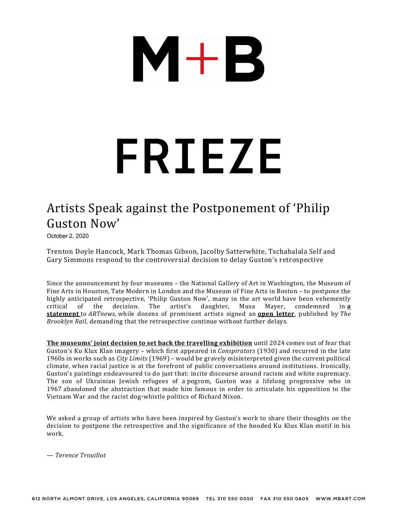# $M+B$ **FRIEZE**

### Artists Speak against the Postponement of 'Philip Guston Now'

October 2, 2020

Trenton Doyle Hancock, Mark Thomas Gibson, Jacolby Satterwhite, Tschabalala Self and Gary Simmons respond to the controversial decision to delay Guston's retrospective

Since the announcement by four museums - the National Gallery of Art in Washington, the Museum of Fine Arts in Houston, Tate Modern in London and the Museum of Fine Arts in Boston – to postpone the highly anticipated retrospective, 'Philip Guston Now', many in the art world have been vehemently critical of the decision. The artist's daughter, Musa Mayer, condemned in **a statement** to *ARTnews*, while dozens of prominent artists signed an **open letter**, published by *The Brooklyn Rail*, demanding that the retrospective continue without further delays.

**The museums' joint decision to set back the travelling exhibition** until 2024 comes out of fear that Guston's Ku Klux Klan imagery - which first appeared in *Conspirators* (1930) and recurred in the late 1960s in works such as *City Limits* (1969) – would be gravely misinterpreted given the current political climate, when racial justice is at the forefront of public conversations around institutions. Ironically, Guston's paintings endeavoured to do just that: incite discourse around racism and white supremacy. The son of Ukrainian Jewish refugees of a pogrom, Guston was a lifelong progressive who in 1967 abandoned the abstraction that made him famous in order to articulate his opposition to the Vietnam War and the racist dog-whistle politics of Richard Nixon.

We asked a group of artists who have been inspired by Guston's work to share their thoughts on the decision to postpone the retrospective and the significance of the hooded Ku Klux Klan motif in his work.

— *Terence Trouillot*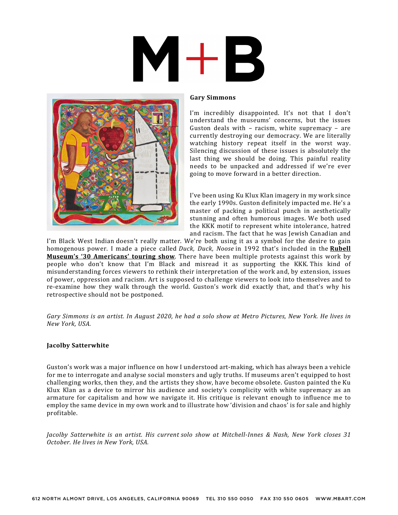

### **Gary Simmons**

I'm incredibly disappointed. It's not that I don't understand the museums' concerns, but the issues Guston deals with  $-$  racism, white supremacy  $-$  are currently destroying our democracy. We are literally watching history repeat itself in the worst way. Silencing discussion of these issues is absolutely the last thing we should be doing. This painful reality needs to be unpacked and addressed if we're ever going to move forward in a better direction.

I've been using Ku Klux Klan imagery in my work since the early 1990s. Guston definitely impacted me. He's a master of packing a political punch in aesthetically stunning and often humorous images. We both used the KKK motif to represent white intolerance, hatred and racism. The fact that he was Jewish Canadian and

I'm Black West Indian doesn't really matter. We're both using it as a symbol for the desire to gain homogenous power. I made a piece called *Duck, Duck, Noose* in 1992 that's included in the **Rubell Museum's '30 Americans' touring show**. There have been multiple protests against this work by people who don't know that I'm Black and misread it as supporting the KKK. This kind of misunderstanding forces viewers to rethink their interpretation of the work and, by extension, issues of power, oppression and racism. Art is supposed to challenge viewers to look into themselves and to re-examine how they walk through the world. Guston's work did exactly that, and that's why his retrospective should not be postponed.

Gary Simmons is an artist. In August 2020, he had a solo show at Metro Pictures, New York. He lives in *New York, USA.* 

### **Jacolby Satterwhite**

Guston's work was a major influence on how I understood art-making, which has always been a vehicle for me to interrogate and analyse social monsters and ugly truths. If museums aren't equipped to host challenging works, then they, and the artists they show, have become obsolete. Guston painted the Ku Klux Klan as a device to mirror his audience and society's complicity with white supremacy as an armature for capitalism and how we navigate it. His critique is relevant enough to influence me to employ the same device in my own work and to illustrate how 'division and chaos' is for sale and highly profitable.

*Jacolby Satterwhite is an artist. His current solo show at Mitchell-Innes & Nash, New York closes 31 October. He lives in New York, USA.*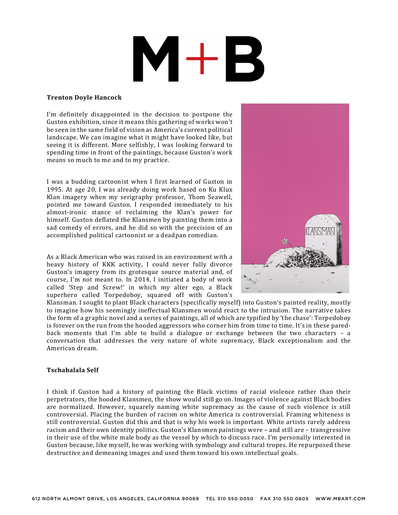## $M+B$

### **Trenton Doyle Hancock**

I'm definitely disappointed in the decision to postpone the Guston exhibition, since it means this gathering of works won't be seen in the same field of vision as America's current political landscape. We can imagine what it might have looked like, but seeing it is different. More selfishly, I was looking forward to spending time in front of the paintings, because Guston's work means so much to me and to my practice.

I was a budding cartoonist when I first learned of Guston in 1995. At age 20, I was already doing work based on Ku Klux Klan imagery when my serigraphy professor, Thom Seawell, pointed me toward Guston. I responded immediately to his almost-ironic stance of reclaiming the Klan's power for himself. Guston deflated the Klansmen by painting them into a sad comedy of errors, and he did so with the precision of an accomplished political cartoonist or a deadpan comedian.

As a Black American who was raised in an environment with a heavy history of KKK activity, I could never fully divorce Guston's imagery from its grotesque source material and, of course, I'm not meant to. In 2014, I initiated a body of work called 'Step and Screw!' in which my alter ego, a Black superhero called Torpedoboy, squared off with Guston's



Klansman. I sought to plant Black characters (specifically myself) into Guston's painted reality, mostly to imagine how his seemingly ineffectual Klansmen would react to the intrusion. The narrative takes the form of a graphic novel and a series of paintings, all of which are typified by 'the chase': Torpedoboy is forever on the run from the hooded aggressors who corner him from time to time. It's in these paredback moments that I'm able to build a dialogue or exchange between the two characters  $-$  a conversation that addresses the very nature of white supremacy, Black exceptionalism and the American dream.

### **Tschabalala Self**

I think if Guston had a history of painting the Black victims of racial violence rather than their perpetrators, the hooded Klansmen, the show would still go on. Images of violence against Black bodies are normalized. However, squarely naming white supremacy as the cause of such violence is still controversial. Placing the burden of racism on white America is controversial. Framing whiteness is still controversial. Guston did this and that is why his work is important. White artists rarely address racism and their own identity politics. Guston's Klansmen paintings were - and still are - transgressive in their use of the white male body as the vessel by which to discuss race. I'm personally interested in Guston because, like myself, he was working with symbology and cultural tropes. He repurposed these destructive and demeaning images and used them toward his own intellectual goals.